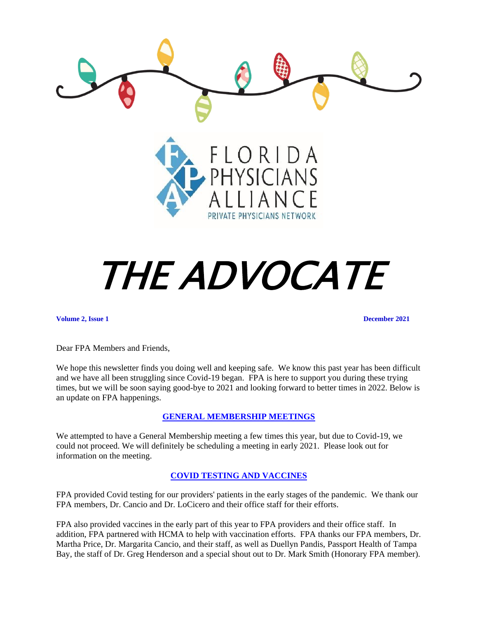

# THE ADVOCATE

**Volume 2, Issue 1 December 2021**

Dear FPA Members and Friends,

We hope this newsletter finds you doing well and keeping safe. We know this past year has been difficult and we have all been struggling since Covid-19 began. FPA is here to support you during these trying times, but we will be soon saying good-bye to 2021 and looking forward to better times in 2022. Below is an update on FPA happenings.

# **GENERAL MEMBERSHIP MEETINGS**

We attempted to have a General Membership meeting a few times this year, but due to Covid-19, we could not proceed. We will definitely be scheduling a meeting in early 2021. Please look out for information on the meeting.

#### **COVID TESTING AND VACCINES**

FPA provided Covid testing for our providers' patients in the early stages of the pandemic. We thank our FPA members, Dr. Cancio and Dr. LoCicero and their office staff for their efforts.

FPA also provided vaccines in the early part of this year to FPA providers and their office staff. In addition, FPA partnered with HCMA to help with vaccination efforts. FPA thanks our FPA members, Dr. Martha Price, Dr. Margarita Cancio, and their staff, as well as Duellyn Pandis, Passport Health of Tampa Bay, the staff of Dr. Greg Henderson and a special shout out to Dr. Mark Smith (Honorary FPA member).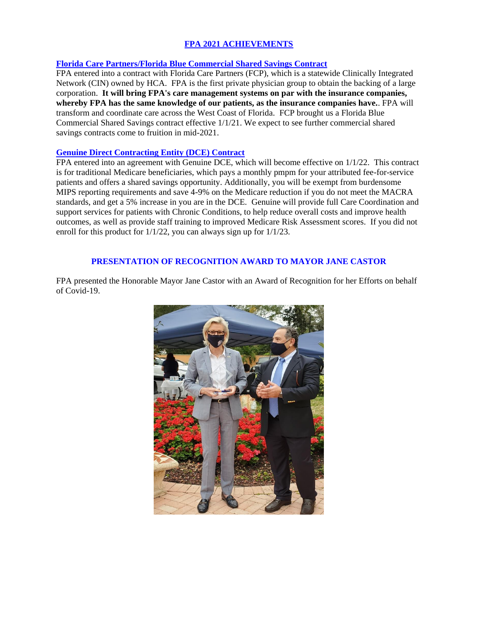# **FPA 2021 ACHIEVEMENTS**

## **Florida Care Partners/Florida Blue Commercial Shared Savings Contract**

FPA entered into a contract with Florida Care Partners (FCP), which is a statewide Clinically Integrated Network (CIN) owned by HCA. FPA is the first private physician group to obtain the backing of a large corporation. **It will bring FPA's care management systems on par with the insurance companies, whereby FPA has the same knowledge of our patients, as the insurance companies have.**. FPA will transform and coordinate care across the West Coast of Florida. FCP brought us a Florida Blue Commercial Shared Savings contract effective 1/1/21. We expect to see further commercial shared savings contracts come to fruition in mid-2021.

### **Genuine Direct Contracting Entity (DCE) Contract**

FPA entered into an agreement with Genuine DCE, which will become effective on 1/1/22. This contract is for traditional Medicare beneficiaries, which pays a monthly pmpm for your attributed fee-for-service patients and offers a shared savings opportunity. Additionally, you will be exempt from burdensome MIPS reporting requirements and save 4-9% on the Medicare reduction if you do not meet the MACRA standards, and get a 5% increase in you are in the DCE. Genuine will provide full Care Coordination and support services for patients with Chronic Conditions, to help reduce overall costs and improve health outcomes, as well as provide staff training to improved Medicare Risk Assessment scores. If you did not enroll for this product for 1/1/22, you can always sign up for 1/1/23.

### **PRESENTATION OF RECOGNITION AWARD TO MAYOR JANE CASTOR**

FPA presented the Honorable Mayor Jane Castor with an Award of Recognition for her Efforts on behalf of Covid-19.

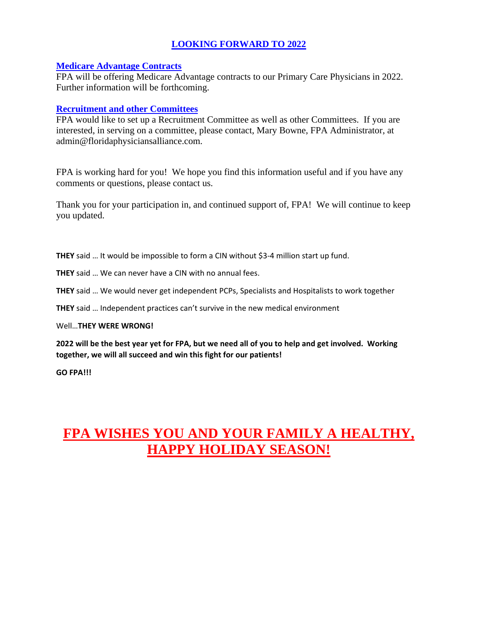# **LOOKING FORWARD TO 2022**

# **Medicare Advantage Contracts**

FPA will be offering Medicare Advantage contracts to our Primary Care Physicians in 2022. Further information will be forthcoming.

# **Recruitment and other Committees**

FPA would like to set up a Recruitment Committee as well as other Committees. If you are interested, in serving on a committee, please contact, Mary Bowne, FPA Administrator, at admin@floridaphysiciansalliance.com.

FPA is working hard for you! We hope you find this information useful and if you have any comments or questions, please contact us.

Thank you for your participation in, and continued support of, FPA! We will continue to keep you updated.

**THEY** said … It would be impossible to form a CIN without \$3-4 million start up fund.

**THEY** said … We can never have a CIN with no annual fees.

**THEY** said … We would never get independent PCPs, Specialists and Hospitalists to work together

**THEY** said … Independent practices can't survive in the new medical environment

# Well…**THEY WERE WRONG!**

**2022 will be the best year yet for FPA, but we need all of you to help and get involved. Working together, we will all succeed and win this fight for our patients!**

**GO FPA!!!**

# **FPA WISHES YOU AND YOUR FAMILY A HEALTHY, HAPPY HOLIDAY SEASON!**